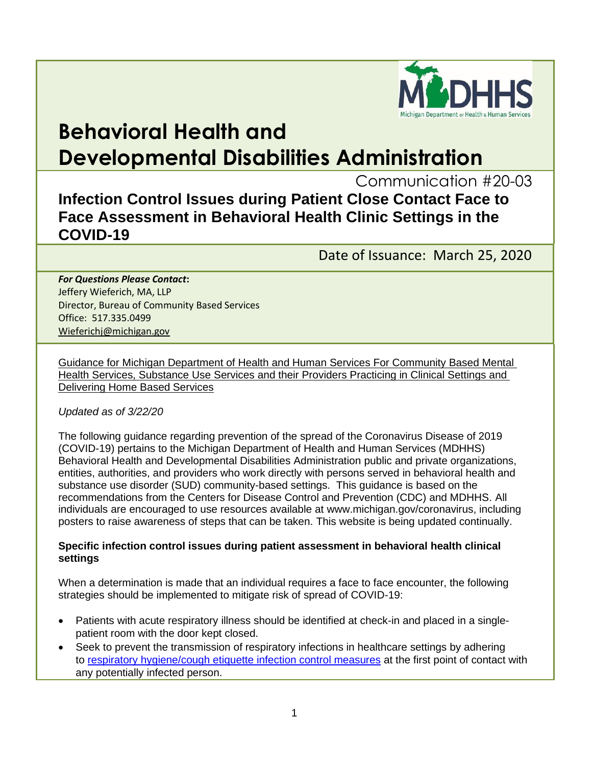

# **Behavioral Health and Developmental Disabilities Administration**

Communication #20-03

**Infection Control Issues during Patient Close Contact Face to Face Assessment in Behavioral Health Clinic Settings in the COVID-19** 

Date of Issuance: March 25, 2020

*For Questions Please Contact***:** Jeffery Wieferich, MA, LLP Director, Bureau of Community Based Services Office: 517.335.0499 [Wieferichj@michigan.gov](mailto:Wieferichj@michigan.gov)

Guidance for Michigan Department of Health and Human Services For Community Based Mental Health Services, Substance Use Services and their Providers Practicing in Clinical Settings and Delivering Home Based Services

## *Updated as of 3/22/20*

The following guidance regarding prevention of the spread of the Coronavirus Disease of 2019 (COVID-19) pertains to the Michigan Department of Health and Human Services (MDHHS) Behavioral Health and Developmental Disabilities Administration public and private organizations, entities, authorities, and providers who work directly with persons served in behavioral health and substance use disorder (SUD) community-based settings. This guidance is based on the recommendations from the Centers for Disease Control and Prevention (CDC) and MDHHS. All individuals are encouraged to use resources available at www.michigan.gov/coronavirus, including posters to raise awareness of steps that can be taken. This website is being updated continually.

### **Specific infection control issues during patient assessment in behavioral health clinical settings**

When a determination is made that an individual requires a face to face encounter, the following strategies should be implemented to mitigate risk of spread of COVID-19:

- Patients with acute respiratory illness should be identified at check-in and placed in a singlepatient room with the door kept closed.
- Seek to prevent the transmission of respiratory infections in healthcare settings by adhering to [respiratory hygiene/cough etiquette infection control measures](https://gcc01.safelinks.protection.outlook.com/?url=https%3A%2F%2Fwww.cdc.gov%2Fflu%2Fprofessionals%2Finfectioncontrol%2Fresphygiene.htm&data=02%7C01%7CPinalsD%40michigan.gov%7C713e47bf55fa4beff56d08d7cd109cfa%7Cd5fb7087377742ad966a892ef47225d1%7C0%7C0%7C637203343827185160&sdata=D4TK0RJnGKfeu9FN8AbP01RG5SpGqzT2Ul5HRwbSbz4%3D&reserved=0) at the first point of contact with any potentially infected person.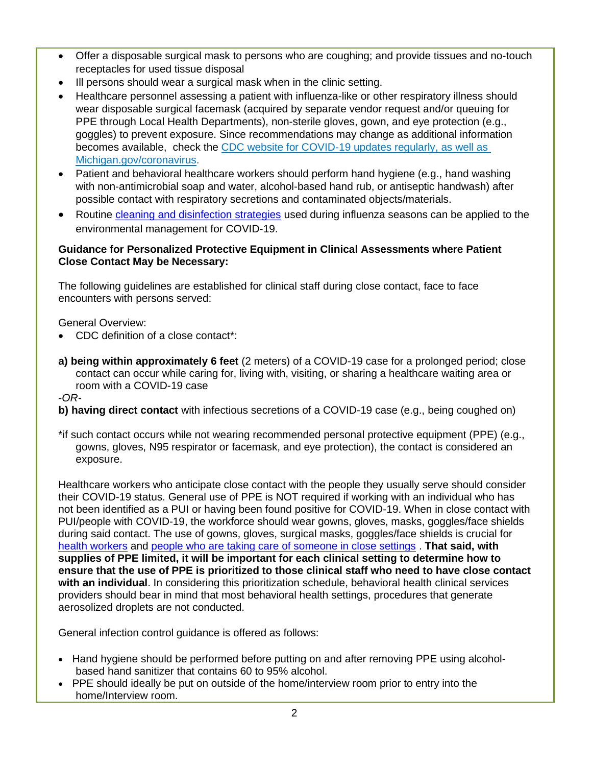- Offer a disposable surgical mask to persons who are coughing; and provide tissues and no-touch receptacles for used tissue disposal
- Ill persons should wear a surgical mask when in the clinic setting.
- Healthcare personnel assessing a patient with influenza-like or other respiratory illness should wear disposable surgical facemask (acquired by separate vendor request and/or queuing for PPE through Local Health Departments), non-sterile gloves, gown, and eye protection (e.g., goggles) to prevent exposure. Since recommendations may change as additional information becomes available, check the [CDC website for COVID-19 updates](https://gcc01.safelinks.protection.outlook.com/?url=https%3A%2F%2Fwww.cdc.gov%2Fcoronavirus%2F2019-nCoV%2Fhcp%2Finfection-control.html&data=02%7C01%7CPinalsD%40michigan.gov%7C713e47bf55fa4beff56d08d7cd109cfa%7Cd5fb7087377742ad966a892ef47225d1%7C0%7C0%7C637203343827185160&sdata=EkasNwtxvHJUUEiY%2F3i5VBYuFLXktXzvfErHC9RcgJI%3D&reserved=0) regularly, as well as Michigan.gov/coronavirus.
- Patient and behavioral healthcare workers should perform hand hygiene (e.g., hand washing with non-antimicrobial soap and water, alcohol-based hand rub, or antiseptic handwash) after possible contact with respiratory secretions and contaminated objects/materials.
- Routine [cleaning and disinfection strategies](https://gcc01.safelinks.protection.outlook.com/?url=http%3A%2F%2Fwww.cdc.gov%2Fncidod%2Fdhqp%2Fgl_environinfection.html&data=02%7C01%7CPinalsD%40michigan.gov%7C713e47bf55fa4beff56d08d7cd109cfa%7Cd5fb7087377742ad966a892ef47225d1%7C0%7C0%7C637203343827195123&sdata=Konk67Ox%2B8I6oyIHSpp8W7vKnQxZZR%2FlYietYaxelyQ%3D&reserved=0) used during influenza seasons can be applied to the environmental management for COVID-19.

# **Guidance for Personalized Protective Equipment in Clinical Assessments where Patient Close Contact May be Necessary:**

The following guidelines are established for clinical staff during close contact, face to face encounters with persons served:

General Overview:

- CDC definition of a close contact\*:
- **a) being within approximately 6 feet** (2 meters) of a COVID-19 case for a prolonged period; close contact can occur while caring for, living with, visiting, or sharing a healthcare waiting area or room with a COVID-19 case

-*OR-*

- **b) having direct contact** with infectious secretions of a COVID-19 case (e.g., being coughed on)
- \*if such contact occurs while not wearing recommended personal protective equipment (PPE) (e.g., gowns, gloves, N95 respirator or facemask, and eye protection), the contact is considered an exposure.

Healthcare workers who anticipate close contact with the people they usually serve should consider their COVID-19 status. General use of PPE is NOT required if working with an individual who has not been identified as a PUI or having been found positive for COVID-19. When in close contact with PUI/people with COVID-19, the workforce should wear gowns, gloves, masks, goggles/face shields during said contact. The use of gowns, gloves, surgical masks, goggles/face shields is crucial for [health workers](https://www.cdc.gov/coronavirus/2019-nCoV/hcp/infection-control.html) and [people who are taking care of someone in close settings](https://www.cdc.gov/coronavirus/2019-ncov/hcp/guidance-home-care.html) . **That said, with supplies of PPE limited, it will be important for each clinical setting to determine how to ensure that the use of PPE is prioritized to those clinical staff who need to have close contact with an individual**. In considering this prioritization schedule, behavioral health clinical services providers should bear in mind that most behavioral health settings, procedures that generate aerosolized droplets are not conducted.

General infection control guidance is offered as follows:

- Hand hygiene should be performed before putting on and after removing PPE using alcoholbased hand sanitizer that contains 60 to 95% alcohol.
- PPE should ideally be put on outside of the home/interview room prior to entry into the home/Interview room.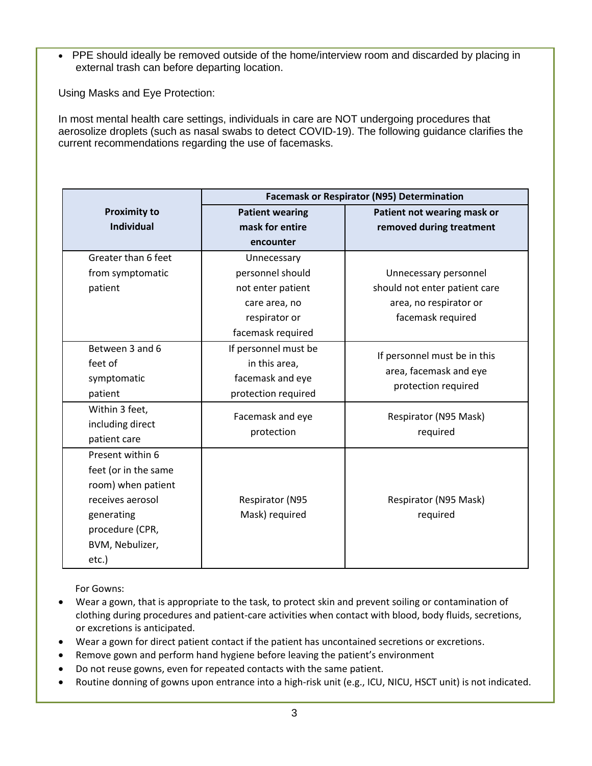• PPE should ideally be removed outside of the home/interview room and discarded by placing in external trash can before departing location.

Using Masks and Eye Protection:

In most mental health care settings, individuals in care are NOT undergoing procedures that aerosolize droplets (such as nasal swabs to detect COVID-19). The following guidance clarifies the current recommendations regarding the use of facemasks.

|                      | <b>Facemask or Respirator (N95) Determination</b> |                                               |
|----------------------|---------------------------------------------------|-----------------------------------------------|
| <b>Proximity to</b>  | <b>Patient wearing</b>                            | Patient not wearing mask or                   |
| <b>Individual</b>    | mask for entire                                   | removed during treatment                      |
|                      | encounter                                         |                                               |
| Greater than 6 feet  | Unnecessary                                       |                                               |
| from symptomatic     | personnel should                                  | Unnecessary personnel                         |
| patient              | not enter patient                                 | should not enter patient care                 |
|                      | care area, no                                     | area, no respirator or                        |
|                      | respirator or                                     | facemask required                             |
|                      | facemask required                                 |                                               |
| Between 3 and 6      | If personnel must be                              | If personnel must be in this                  |
| feet of              | in this area,                                     |                                               |
| symptomatic          | facemask and eye                                  | area, facemask and eye<br>protection required |
| patient              | protection required                               |                                               |
| Within 3 feet,       | Facemask and eye<br>protection                    | Respirator (N95 Mask)                         |
| including direct     |                                                   | required                                      |
| patient care         |                                                   |                                               |
| Present within 6     |                                                   |                                               |
| feet (or in the same |                                                   |                                               |
| room) when patient   |                                                   |                                               |
| receives aerosol     | Respirator (N95                                   | Respirator (N95 Mask)                         |
| generating           | Mask) required                                    | required                                      |
| procedure (CPR,      |                                                   |                                               |
| BVM, Nebulizer,      |                                                   |                                               |
| etc.)                |                                                   |                                               |

For Gowns:

- Wear a gown, that is appropriate to the task, to protect skin and prevent soiling or contamination of clothing during procedures and patient-care activities when contact with blood, body fluids, secretions, or excretions is anticipated.
- Wear a gown for direct patient contact if the patient has uncontained secretions or excretions.
- Remove gown and perform hand hygiene before leaving the patient's environment
- Do not reuse gowns, even for repeated contacts with the same patient.
- Routine donning of gowns upon entrance into a high-risk unit (e.g., ICU, NICU, HSCT unit) is not indicated.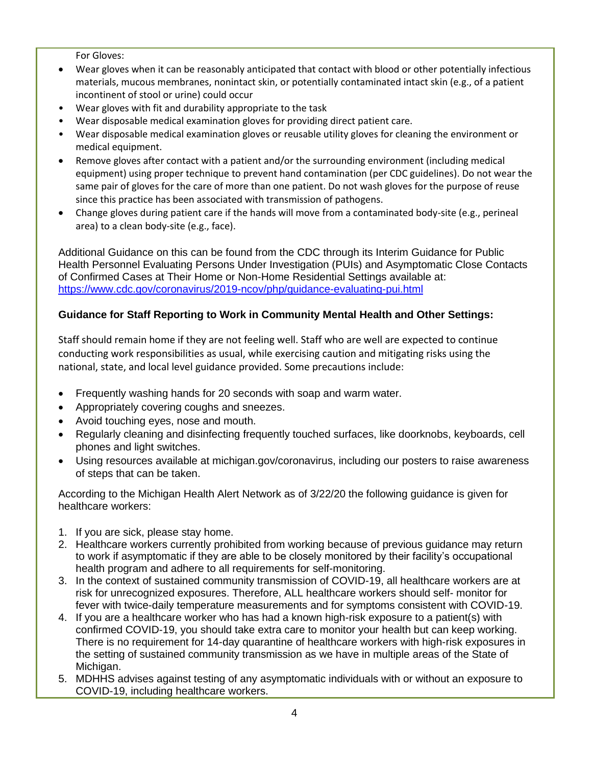For Gloves:

- Wear gloves when it can be reasonably anticipated that contact with blood or other potentially infectious materials, mucous membranes, nonintact skin, or potentially contaminated intact skin (e.g., of a patient incontinent of stool or urine) could occur
- Wear gloves with fit and durability appropriate to the task
- Wear disposable medical examination gloves for providing direct patient care.
- Wear disposable medical examination gloves or reusable utility gloves for cleaning the environment or medical equipment.
- Remove gloves after contact with a patient and/or the surrounding environment (including medical equipment) using proper technique to prevent hand contamination (per CDC guidelines). Do not wear the same pair of gloves for the care of more than one patient. Do not wash gloves for the purpose of reuse since this practice has been associated with transmission of pathogens.
- Change gloves during patient care if the hands will move from a contaminated body-site (e.g., perineal area) to a clean body-site (e.g., face).

Additional Guidance on this can be found from the CDC through its Interim Guidance for Public Health Personnel Evaluating Persons Under Investigation (PUIs) and Asymptomatic Close Contacts of Confirmed Cases at Their Home or Non-Home Residential Settings available at: <https://www.cdc.gov/coronavirus/2019-ncov/php/guidance-evaluating-pui.html>

## **Guidance for Staff Reporting to Work in Community Mental Health and Other Settings:**

Staff should remain home if they are not feeling well. Staff who are well are expected to continue conducting work responsibilities as usual, while exercising caution and mitigating risks using the national, state, and local level guidance provided. Some precautions include:

- Frequently washing hands for 20 seconds with soap and warm water.
- Appropriately covering coughs and sneezes.
- Avoid touching eyes, nose and mouth.
- Regularly cleaning and disinfecting frequently touched surfaces, like doorknobs, keyboards, cell phones and light switches.
- Using resources available at michigan.gov/coronavirus, including our posters to raise awareness of steps that can be taken.

According to the Michigan Health Alert Network as of 3/22/20 the following guidance is given for healthcare workers:

- 1. If you are sick, please stay home.
- 2. Healthcare workers currently prohibited from working because of previous guidance may return to work if asymptomatic if they are able to be closely monitored by their facility's occupational health program and adhere to all requirements for self-monitoring.
- 3. In the context of sustained community transmission of COVID-19, all healthcare workers are at risk for unrecognized exposures. Therefore, ALL healthcare workers should self- monitor for fever with twice-daily temperature measurements and for symptoms consistent with COVID-19.
- 4. If you are a healthcare worker who has had a known high-risk exposure to a patient(s) with confirmed COVID-19, you should take extra care to monitor your health but can keep working. There is no requirement for 14-day quarantine of healthcare workers with high-risk exposures in the setting of sustained community transmission as we have in multiple areas of the State of Michigan.
- 5. MDHHS advises against testing of any asymptomatic individuals with or without an exposure to COVID-19, including healthcare workers.